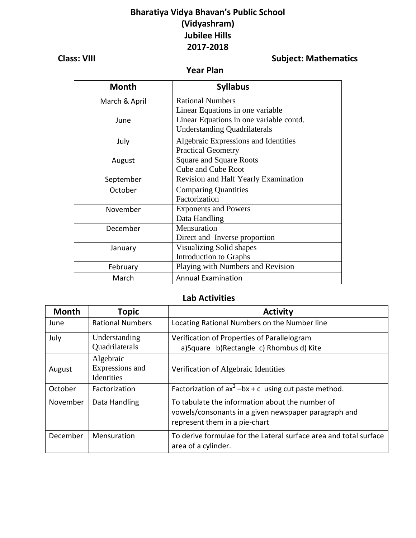## **Bharatiya Vidya Bhavan's Public School (Vidyashram) Jubilee Hills 2017-2018**

# **Class: VIII** Class: VIII

 **Year Plan**

| <b>Month</b>  | <b>Syllabus</b>                         |
|---------------|-----------------------------------------|
| March & April | <b>Rational Numbers</b>                 |
|               | Linear Equations in one variable        |
| June          | Linear Equations in one variable contd. |
|               | <b>Understanding Quadrilaterals</b>     |
| July          | Algebraic Expressions and Identities    |
|               | <b>Practical Geometry</b>               |
| August        | <b>Square and Square Roots</b>          |
|               | <b>Cube and Cube Root</b>               |
| September     | Revision and Half Yearly Examination    |
| October       | <b>Comparing Quantities</b>             |
|               | Factorization                           |
| November      | <b>Exponents and Powers</b>             |
|               | Data Handling                           |
| December      | Mensuration                             |
|               | Direct and Inverse proportion           |
| January       | Visualizing Solid shapes                |
|               | Introduction to Graphs                  |
| February      | Playing with Numbers and Revision       |
| March         | <b>Annual Examination</b>               |

### **Lab Activities**

| <b>Month</b> | <b>Topic</b>                               | <b>Activity</b>                                                                                                                          |
|--------------|--------------------------------------------|------------------------------------------------------------------------------------------------------------------------------------------|
| June         | <b>Rational Numbers</b>                    | Locating Rational Numbers on the Number line                                                                                             |
| July         | Understanding                              | Verification of Properties of Parallelogram                                                                                              |
|              | Quadrilaterals                             | a)Square b)Rectangle c) Rhombus d) Kite                                                                                                  |
| August       | Algebraic<br>Expressions and<br>Identities | Verification of Algebraic Identities                                                                                                     |
| October      | Factorization                              | Factorization of $ax^2 -bx + c$ using cut paste method.                                                                                  |
| November     | Data Handling                              | To tabulate the information about the number of<br>vowels/consonants in a given newspaper paragraph and<br>represent them in a pie-chart |
| December     | Mensuration                                | To derive formulae for the Lateral surface area and total surface<br>area of a cylinder.                                                 |